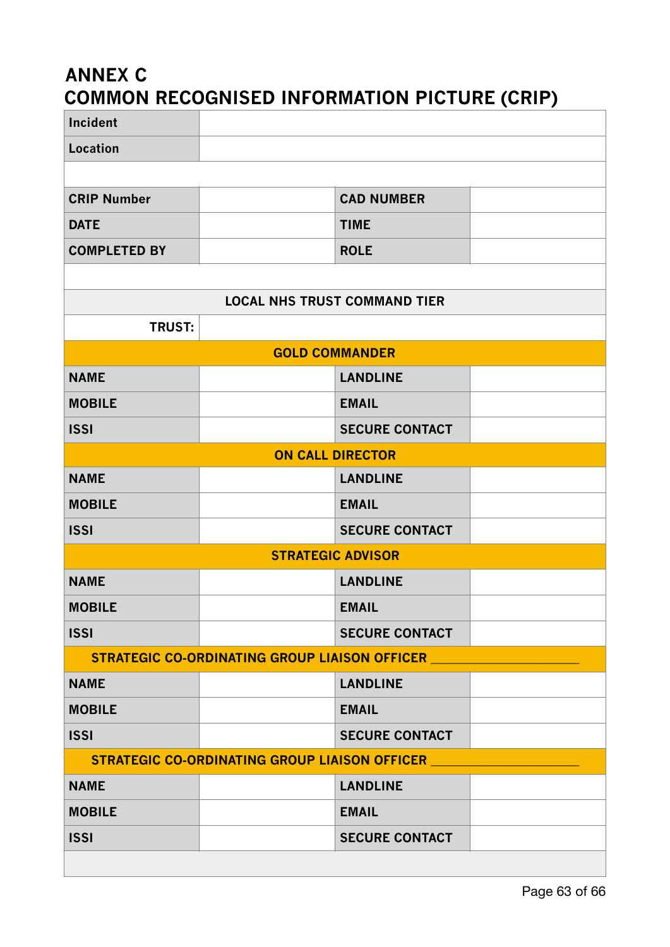## **ANNEX C COMMON RECOGNISED INFORMATION PICTURE (CRIP)**

| Incident                                             |  |                       |  |  |
|------------------------------------------------------|--|-----------------------|--|--|
| <b>Location</b>                                      |  |                       |  |  |
|                                                      |  |                       |  |  |
| <b>CRIP Number</b>                                   |  | <b>CAD NUMBER</b>     |  |  |
| <b>DATE</b>                                          |  | <b>TIME</b>           |  |  |
| <b>COMPLETED BY</b>                                  |  | <b>ROLE</b>           |  |  |
|                                                      |  |                       |  |  |
| <b>LOCAL NHS TRUST COMMAND TIER</b>                  |  |                       |  |  |
| <b>TRUST:</b>                                        |  |                       |  |  |
| <b>GOLD COMMANDER</b>                                |  |                       |  |  |
| <b>NAME</b>                                          |  | <b>LANDLINE</b>       |  |  |
| <b>MOBILE</b>                                        |  | <b>EMAIL</b>          |  |  |
| <b>ISSI</b>                                          |  | <b>SECURE CONTACT</b> |  |  |
| <b>ON CALL DIRECTOR</b>                              |  |                       |  |  |
| <b>NAME</b>                                          |  | <b>LANDLINE</b>       |  |  |
| <b>MOBILE</b>                                        |  | <b>EMAIL</b>          |  |  |
| <b>ISSI</b>                                          |  | <b>SECURE CONTACT</b> |  |  |
| <b>STRATEGIC ADVISOR</b>                             |  |                       |  |  |
| <b>NAME</b>                                          |  | <b>LANDLINE</b>       |  |  |
| <b>MOBILE</b>                                        |  | <b>EMAIL</b>          |  |  |
| <b>ISSI</b>                                          |  | <b>SECURE CONTACT</b> |  |  |
| STRATEGIC CO-ORDINATING GROUP LIAISON OFFICER        |  |                       |  |  |
| <b>NAME</b>                                          |  | <b>LANDLINE</b>       |  |  |
| <b>MOBILE</b>                                        |  | <b>EMAIL</b>          |  |  |
| <b>ISSI</b>                                          |  | <b>SECURE CONTACT</b> |  |  |
| <b>STRATEGIC CO-ORDINATING GROUP LIAISON OFFICER</b> |  |                       |  |  |
| <b>NAME</b>                                          |  | <b>LANDLINE</b>       |  |  |
| <b>MOBILE</b>                                        |  | <b>EMAIL</b>          |  |  |
| <b>ISSI</b>                                          |  | <b>SECURE CONTACT</b> |  |  |
|                                                      |  |                       |  |  |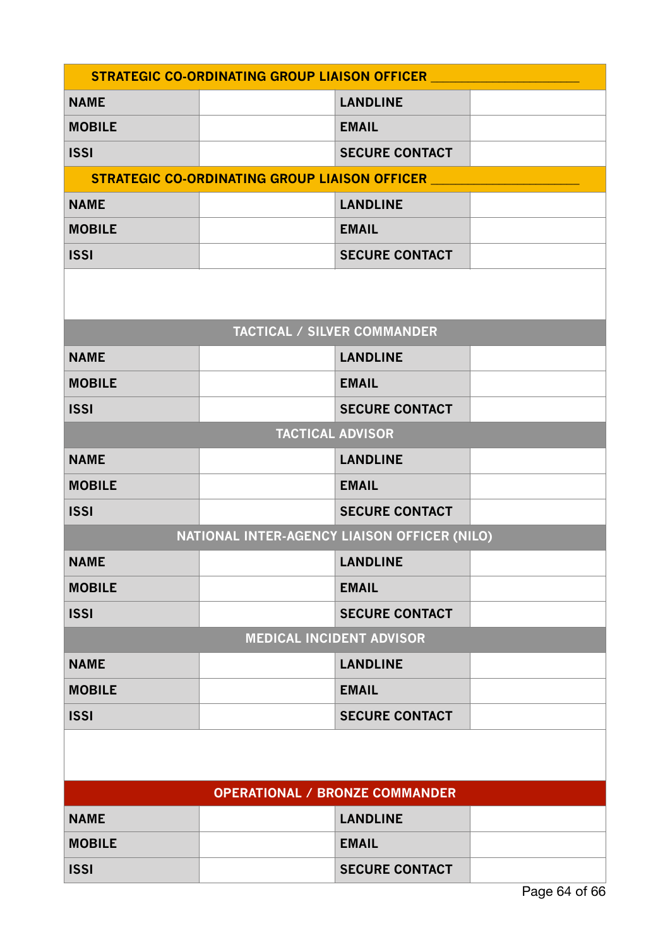| <b>STRATEGIC CO-ORDINATING GROUP LIAISON OFFICER</b> |                                               |                                    |  |  |
|------------------------------------------------------|-----------------------------------------------|------------------------------------|--|--|
| <b>NAME</b>                                          |                                               | <b>LANDLINE</b>                    |  |  |
| <b>MOBILE</b>                                        |                                               | <b>EMAIL</b>                       |  |  |
| <b>ISSI</b>                                          |                                               | <b>SECURE CONTACT</b>              |  |  |
|                                                      | STRATEGIC CO-ORDINATING GROUP LIAISON OFFICER |                                    |  |  |
| <b>NAME</b>                                          |                                               | <b>LANDLINE</b>                    |  |  |
| <b>MOBILE</b>                                        |                                               | <b>EMAIL</b>                       |  |  |
| <b>ISSI</b>                                          |                                               | <b>SECURE CONTACT</b>              |  |  |
|                                                      |                                               |                                    |  |  |
|                                                      |                                               | <b>TACTICAL / SILVER COMMANDER</b> |  |  |
| <b>NAME</b>                                          |                                               | <b>LANDLINE</b>                    |  |  |
| <b>MOBILE</b>                                        |                                               | <b>EMAIL</b>                       |  |  |
| <b>ISSI</b>                                          |                                               | <b>SECURE CONTACT</b>              |  |  |
|                                                      |                                               | <b>TACTICAL ADVISOR</b>            |  |  |
| <b>NAME</b>                                          |                                               | <b>LANDLINE</b>                    |  |  |
| <b>MOBILE</b>                                        |                                               | <b>EMAIL</b>                       |  |  |
| <b>ISSI</b>                                          |                                               | <b>SECURE CONTACT</b>              |  |  |
| NATIONAL INTER-AGENCY LIAISON OFFICER (NILO)         |                                               |                                    |  |  |
| <b>NAME</b>                                          |                                               | <b>LANDLINE</b>                    |  |  |
| <b>MOBILE</b>                                        |                                               | <b>EMAIL</b>                       |  |  |
| <b>ISSI</b>                                          |                                               | <b>SECURE CONTACT</b>              |  |  |
| <b>MEDICAL INCIDENT ADVISOR</b>                      |                                               |                                    |  |  |
| <b>NAME</b>                                          |                                               | <b>LANDLINE</b>                    |  |  |
| <b>MOBILE</b>                                        |                                               | <b>EMAIL</b>                       |  |  |
| <b>ISSI</b>                                          |                                               | <b>SECURE CONTACT</b>              |  |  |
|                                                      |                                               |                                    |  |  |
| <b>OPERATIONAL / BRONZE COMMANDER</b>                |                                               |                                    |  |  |
| <b>NAME</b>                                          |                                               | <b>LANDLINE</b>                    |  |  |
| <b>MOBILE</b>                                        |                                               | <b>EMAIL</b>                       |  |  |
| <b>ISSI</b>                                          |                                               | <b>SECURE CONTACT</b>              |  |  |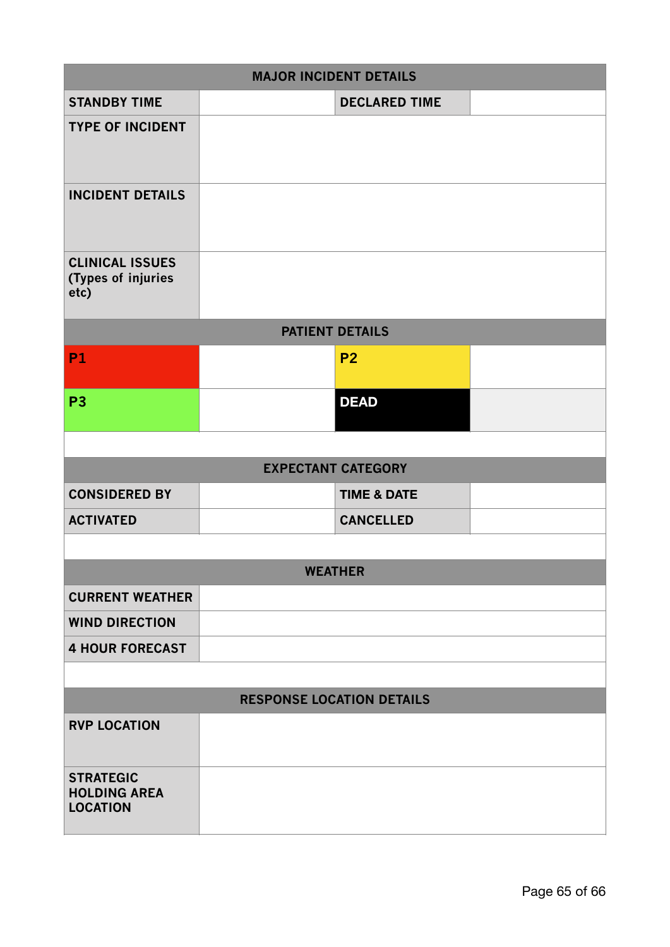| <b>MAJOR INCIDENT DETAILS</b>                              |                |                           |  |  |
|------------------------------------------------------------|----------------|---------------------------|--|--|
| <b>STANDBY TIME</b>                                        |                | <b>DECLARED TIME</b>      |  |  |
| <b>TYPE OF INCIDENT</b>                                    |                |                           |  |  |
| <b>INCIDENT DETAILS</b>                                    |                |                           |  |  |
| <b>CLINICAL ISSUES</b><br>(Types of injuries<br>etc)       |                |                           |  |  |
| <b>PATIENT DETAILS</b>                                     |                |                           |  |  |
| <b>P1</b>                                                  |                | P <sub>2</sub>            |  |  |
| P <sub>3</sub>                                             |                | <b>DEAD</b>               |  |  |
|                                                            |                |                           |  |  |
|                                                            |                | <b>EXPECTANT CATEGORY</b> |  |  |
| <b>CONSIDERED BY</b>                                       |                | <b>TIME &amp; DATE</b>    |  |  |
| <b>ACTIVATED</b>                                           |                | <b>CANCELLED</b>          |  |  |
|                                                            |                |                           |  |  |
|                                                            | <b>WEATHER</b> |                           |  |  |
| <b>CURRENT WEATHER</b>                                     |                |                           |  |  |
| <b>WIND DIRECTION</b>                                      |                |                           |  |  |
| <b>4 HOUR FORECAST</b>                                     |                |                           |  |  |
|                                                            |                |                           |  |  |
| <b>RESPONSE LOCATION DETAILS</b>                           |                |                           |  |  |
| <b>RVP LOCATION</b>                                        |                |                           |  |  |
| <b>STRATEGIC</b><br><b>HOLDING AREA</b><br><b>LOCATION</b> |                |                           |  |  |